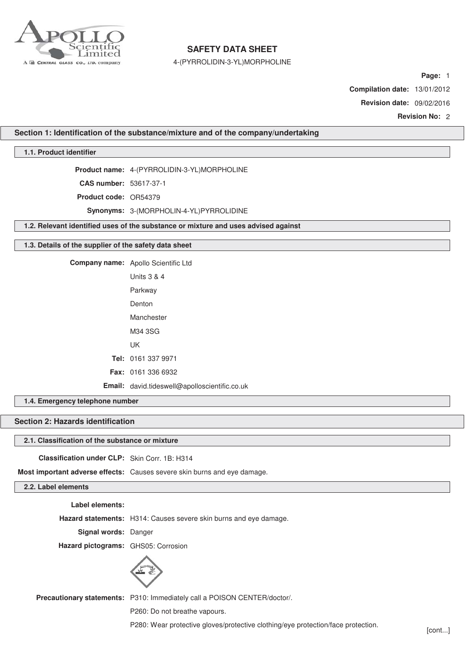

4-(PYRROLIDIN-3-YL)MORPHOLINE

**Page:** 1

**Compilation date:** 13/01/2012

**Revision date:** 09/02/2016

**Revision No:** 2

**Section 1: Identification of the substance/mixture and of the company/undertaking**

**1.1. Product identifier**

**Product name:** 4-(PYRROLIDIN-3-YL)MORPHOLINE

**CAS number:** 53617-37-1

**Product code:** OR54379

**Synonyms:** 3-(MORPHOLIN-4-YL)PYRROLIDINE

**1.2. Relevant identified uses of the substance or mixture and uses advised against**

## **1.3. Details of the supplier of the safety data sheet**

**Company name:** Apollo Scientific Ltd

| Units $3 \& 4$                                |
|-----------------------------------------------|
| Parkway                                       |
| Denton                                        |
| Manchester                                    |
| M34 3SG                                       |
| UΚ                                            |
| Tel: 0161 337 9971                            |
| <b>Fax: 0161 336 6932</b>                     |
| Email: david.tideswell@apolloscientific.co.uk |

**1.4. Emergency telephone number**

## **Section 2: Hazards identification**

## **2.1. Classification of the substance or mixture**

**Classification under CLP:** Skin Corr. 1B: H314

**Most important adverse effects:** Causes severe skin burns and eye damage.

## **2.2. Label elements**

**Label elements:**

**Hazard statements:** H314: Causes severe skin burns and eye damage.

**Signal words:** Danger

**Hazard pictograms:** GHS05: Corrosion



**Precautionary statements:** P310: Immediately call a POISON CENTER/doctor/.

P260: Do not breathe vapours.

P280: Wear protective gloves/protective clothing/eye protection/face protection. [cont...]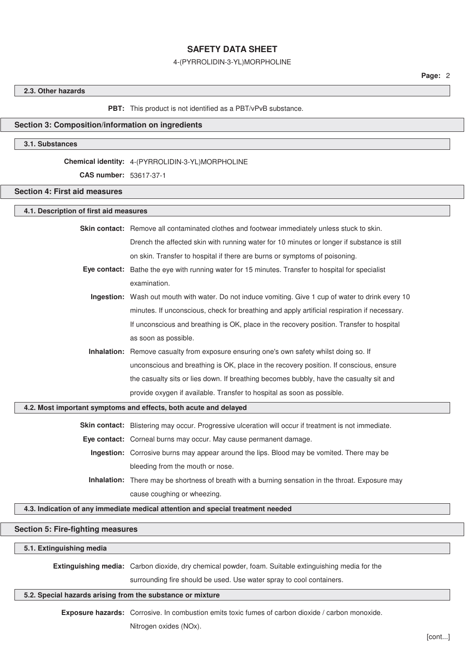#### 4-(PYRROLIDIN-3-YL)MORPHOLINE

## **2.3. Other hazards**

#### **PBT:** This product is not identified as a PBT/vPvB substance.

## **Section 3: Composition/information on ingredients**

## **3.1. Substances**

#### **Chemical identity:** 4-(PYRROLIDIN-3-YL)MORPHOLINE

**CAS number:** 53617-37-1

## **Section 4: First aid measures**

## **4.1. Description of first aid measures**

**Skin contact:** Remove all contaminated clothes and footwear immediately unless stuck to skin. Drench the affected skin with running water for 10 minutes or longer if substance is still on skin. Transfer to hospital if there are burns or symptoms of poisoning.

- **Eye contact:** Bathe the eye with running water for 15 minutes. Transfer to hospital for specialist examination.
	- **Ingestion:** Wash out mouth with water. Do not induce vomiting. Give 1 cup of water to drink every 10 minutes. If unconscious, check for breathing and apply artificial respiration if necessary. If unconscious and breathing is OK, place in the recovery position. Transfer to hospital as soon as possible.
	- **Inhalation:** Remove casualty from exposure ensuring one's own safety whilst doing so. If unconscious and breathing is OK, place in the recovery position. If conscious, ensure the casualty sits or lies down. If breathing becomes bubbly, have the casualty sit and provide oxygen if available. Transfer to hospital as soon as possible.

## **4.2. Most important symptoms and effects, both acute and delayed**

**Skin contact:** Blistering may occur. Progressive ulceration will occur if treatment is not immediate.

**Eye contact:** Corneal burns may occur. May cause permanent damage.

- **Ingestion:** Corrosive burns may appear around the lips. Blood may be vomited. There may be bleeding from the mouth or nose.
- **Inhalation:** There may be shortness of breath with a burning sensation in the throat. Exposure may cause coughing or wheezing.

## **4.3. Indication of any immediate medical attention and special treatment needed**

## **Section 5: Fire-fighting measures**

#### **5.1. Extinguishing media**

**Extinguishing media:** Carbon dioxide, dry chemical powder, foam. Suitable extinguishing media for the

surrounding fire should be used. Use water spray to cool containers.

## **5.2. Special hazards arising from the substance or mixture**

**Exposure hazards:** Corrosive. In combustion emits toxic fumes of carbon dioxide / carbon monoxide.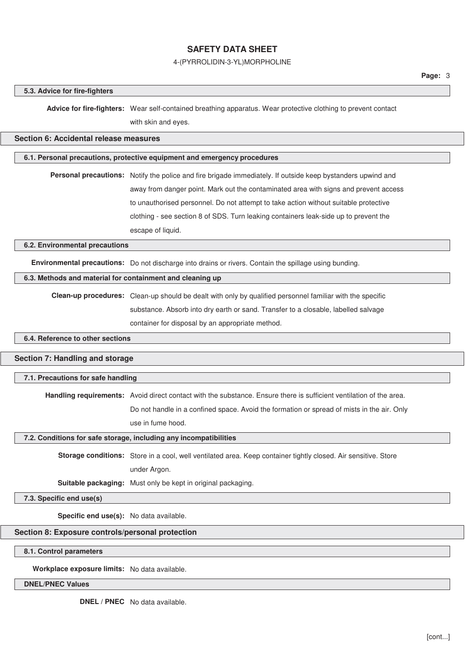## 4-(PYRROLIDIN-3-YL)MORPHOLINE

#### **5.3. Advice for fire-fighters**

**Advice for fire-fighters:** Wear self-contained breathing apparatus. Wear protective clothing to prevent contact with skin and eyes.

## **Section 6: Accidental release measures**

## **6.1. Personal precautions, protective equipment and emergency procedures**

**Personal precautions:** Notify the police and fire brigade immediately. If outside keep bystanders upwind and away from danger point. Mark out the contaminated area with signs and prevent access to unauthorised personnel. Do not attempt to take action without suitable protective clothing - see section 8 of SDS. Turn leaking containers leak-side up to prevent the escape of liquid.

#### **6.2. Environmental precautions**

**Environmental precautions:** Do not discharge into drains or rivers. Contain the spillage using bunding.

## **6.3. Methods and material for containment and cleaning up**

**Clean-up procedures:** Clean-up should be dealt with only by qualified personnel familiar with the specific substance. Absorb into dry earth or sand. Transfer to a closable, labelled salvage container for disposal by an appropriate method.

## **6.4. Reference to other sections**

#### **Section 7: Handling and storage**

### **7.1. Precautions for safe handling**

**Handling requirements:** Avoid direct contact with the substance. Ensure there is sufficient ventilation of the area.

Do not handle in a confined space. Avoid the formation or spread of mists in the air. Only use in fume hood.

#### **7.2. Conditions for safe storage, including any incompatibilities**

**Storage conditions:** Store in a cool, well ventilated area. Keep container tightly closed. Air sensitive. Store under Argon.

**Suitable packaging:** Must only be kept in original packaging.

## **7.3. Specific end use(s)**

**Specific end use(s):** No data available.

#### **Section 8: Exposure controls/personal protection**

**8.1. Control parameters**

**Workplace exposure limits:** No data available.

#### **DNEL/PNEC Values**

**DNEL / PNEC** No data available.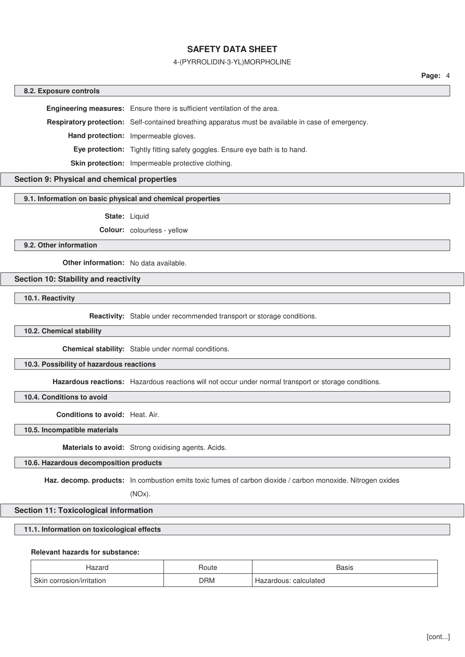## 4-(PYRROLIDIN-3-YL)MORPHOLINE

#### **8.2. Exposure controls**

**Engineering measures:** Ensure there is sufficient ventilation of the area.

**Respiratory protection:** Self-contained breathing apparatus must be available in case of emergency.

**Hand protection:** Impermeable gloves.

**Eye protection:** Tightly fitting safety goggles. Ensure eye bath is to hand.

**Skin protection:** Impermeable protective clothing.

# **Section 9: Physical and chemical properties**

#### **9.1. Information on basic physical and chemical properties**

**State:** Liquid

**Colour:** colourless - yellow

### **9.2. Other information**

**Other information:** No data available.

## **Section 10: Stability and reactivity**

**10.1. Reactivity**

**Reactivity:** Stable under recommended transport or storage conditions.

## **10.2. Chemical stability**

**Chemical stability:** Stable under normal conditions.

## **10.3. Possibility of hazardous reactions**

**Hazardous reactions:** Hazardous reactions will not occur under normal transport or storage conditions.

**10.4. Conditions to avoid**

**Conditions to avoid:** Heat. Air.

**10.5. Incompatible materials**

**Materials to avoid:** Strong oxidising agents. Acids.

## **10.6. Hazardous decomposition products**

**Haz. decomp. products:** In combustion emits toxic fumes of carbon dioxide / carbon monoxide. Nitrogen oxides

(NOx).

## **Section 11: Toxicological information**

#### **11.1. Information on toxicological effects**

## **Relevant hazards for substance:**

| Hazaro                    | Route      | <b>Basis</b>          |
|---------------------------|------------|-----------------------|
| Skin corrosion/irritation | <b>DRM</b> | Hazardous: calculated |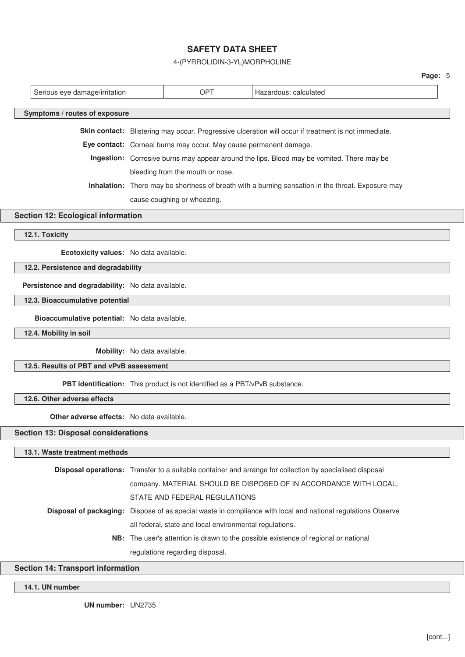4-(PYRROLIDIN-3-YL)MORPHOLINE

|                                                                                                              |                                                                             |                              |                                                                   |                                                                                                          | Page: 5 |  |
|--------------------------------------------------------------------------------------------------------------|-----------------------------------------------------------------------------|------------------------------|-------------------------------------------------------------------|----------------------------------------------------------------------------------------------------------|---------|--|
|                                                                                                              | Serious eye damage/irritation                                               |                              | <b>OPT</b>                                                        | Hazardous: calculated                                                                                    |         |  |
|                                                                                                              | Symptoms / routes of exposure                                               |                              |                                                                   |                                                                                                          |         |  |
|                                                                                                              |                                                                             |                              |                                                                   |                                                                                                          |         |  |
|                                                                                                              |                                                                             |                              |                                                                   | Skin contact: Blistering may occur. Progressive ulceration will occur if treatment is not immediate.     |         |  |
|                                                                                                              |                                                                             |                              | Eye contact: Corneal burns may occur. May cause permanent damage. |                                                                                                          |         |  |
|                                                                                                              |                                                                             |                              |                                                                   | Ingestion: Corrosive burns may appear around the lips. Blood may be vomited. There may be                |         |  |
|                                                                                                              |                                                                             |                              | bleeding from the mouth or nose.                                  |                                                                                                          |         |  |
| Inhalation: There may be shortness of breath with a burning sensation in the throat. Exposure may            |                                                                             |                              |                                                                   |                                                                                                          |         |  |
|                                                                                                              |                                                                             |                              | cause coughing or wheezing.                                       |                                                                                                          |         |  |
|                                                                                                              | <b>Section 12: Ecological information</b>                                   |                              |                                                                   |                                                                                                          |         |  |
|                                                                                                              | 12.1. Toxicity                                                              |                              |                                                                   |                                                                                                          |         |  |
|                                                                                                              |                                                                             |                              |                                                                   |                                                                                                          |         |  |
|                                                                                                              | Ecotoxicity values: No data available.                                      |                              |                                                                   |                                                                                                          |         |  |
|                                                                                                              | 12.2. Persistence and degradability                                         |                              |                                                                   |                                                                                                          |         |  |
|                                                                                                              | Persistence and degradability: No data available.                           |                              |                                                                   |                                                                                                          |         |  |
|                                                                                                              | 12.3. Bioaccumulative potential                                             |                              |                                                                   |                                                                                                          |         |  |
|                                                                                                              | Bioaccumulative potential: No data available.                               |                              |                                                                   |                                                                                                          |         |  |
|                                                                                                              | 12.4. Mobility in soil                                                      |                              |                                                                   |                                                                                                          |         |  |
|                                                                                                              |                                                                             | Mobility: No data available. |                                                                   |                                                                                                          |         |  |
|                                                                                                              | 12.5. Results of PBT and vPvB assessment                                    |                              |                                                                   |                                                                                                          |         |  |
|                                                                                                              | PBT identification: This product is not identified as a PBT/vPvB substance. |                              |                                                                   |                                                                                                          |         |  |
|                                                                                                              | 12.6. Other adverse effects                                                 |                              |                                                                   |                                                                                                          |         |  |
|                                                                                                              | <b>Other adverse effects:</b> No data available.                            |                              |                                                                   |                                                                                                          |         |  |
|                                                                                                              | <b>Section 13: Disposal considerations</b>                                  |                              |                                                                   |                                                                                                          |         |  |
|                                                                                                              |                                                                             |                              |                                                                   |                                                                                                          |         |  |
|                                                                                                              | 13.1. Waste treatment methods                                               |                              |                                                                   |                                                                                                          |         |  |
|                                                                                                              |                                                                             |                              |                                                                   | Disposal operations: Transfer to a suitable container and arrange for collection by specialised disposal |         |  |
|                                                                                                              |                                                                             |                              |                                                                   | company. MATERIAL SHOULD BE DISPOSED OF IN ACCORDANCE WITH LOCAL,                                        |         |  |
|                                                                                                              |                                                                             |                              | STATE AND FEDERAL REGULATIONS                                     |                                                                                                          |         |  |
| Disposal of packaging: Dispose of as special waste in compliance with local and national regulations Observe |                                                                             |                              |                                                                   |                                                                                                          |         |  |
|                                                                                                              |                                                                             |                              | all federal, state and local environmental regulations.           |                                                                                                          |         |  |
|                                                                                                              |                                                                             |                              |                                                                   | NB: The user's attention is drawn to the possible existence of regional or national                      |         |  |
|                                                                                                              |                                                                             |                              | regulations regarding disposal.                                   |                                                                                                          |         |  |

# **Section 14: Transport information**

**14.1. UN number**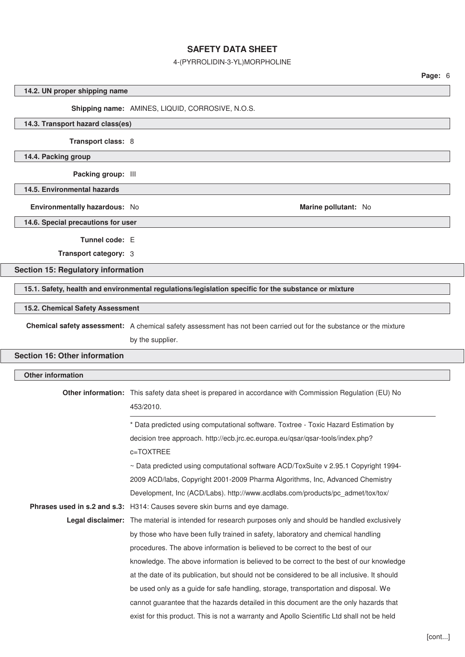## 4-(PYRROLIDIN-3-YL)MORPHOLINE

## **14.2. UN proper shipping name**

## **Shipping name:** AMINES, LIQUID, CORROSIVE, N.O.S.

## **14.3. Transport hazard class(es)**

**Transport class:** 8

**14.4. Packing group**

**Packing group:** III

**14.5. Environmental hazards**

**Environmentally hazardous:** No **Marine pollutant:** No **Marine pollutant:** No

**14.6. Special precautions for user**

**Tunnel code:** E

**Transport category:** 3

## **Section 15: Regulatory information**

**15.1. Safety, health and environmental regulations/legislation specific for the substance or mixture**

### **15.2. Chemical Safety Assessment**

**Chemical safety assessment:** A chemical safety assessment has not been carried out for the substance or the mixture by the supplier.

# **Section 16: Other information**

| <b>Other information</b> |                                                                                                                     |
|--------------------------|---------------------------------------------------------------------------------------------------------------------|
|                          | Other information: This safety data sheet is prepared in accordance with Commission Regulation (EU) No<br>453/2010. |
|                          | * Data predicted using computational software. Toxtree - Toxic Hazard Estimation by                                 |
|                          | decision tree approach. http://ecb.jrc.ec.europa.eu/qsar/qsar-tools/index.php?                                      |
|                          | c=TOXTREE                                                                                                           |
|                          | ~ Data predicted using computational software ACD/ToxSuite v 2.95.1 Copyright 1994-                                 |
|                          | 2009 ACD/labs, Copyright 2001-2009 Pharma Algorithms, Inc, Advanced Chemistry                                       |
|                          | Development, Inc (ACD/Labs). http://www.acdlabs.com/products/pc_admet/tox/tox/                                      |
|                          | Phrases used in s.2 and s.3: H314: Causes severe skin burns and eye damage.                                         |
|                          | Legal disclaimer: The material is intended for research purposes only and should be handled exclusively             |
|                          | by those who have been fully trained in safety, laboratory and chemical handling                                    |
|                          | procedures. The above information is believed to be correct to the best of our                                      |
|                          | knowledge. The above information is believed to be correct to the best of our knowledge                             |
|                          | at the date of its publication, but should not be considered to be all inclusive. It should                         |
|                          | be used only as a guide for safe handling, storage, transportation and disposal. We                                 |
|                          | cannot guarantee that the hazards detailed in this document are the only hazards that                               |
|                          | exist for this product. This is not a warranty and Apollo Scientific Ltd shall not be held                          |